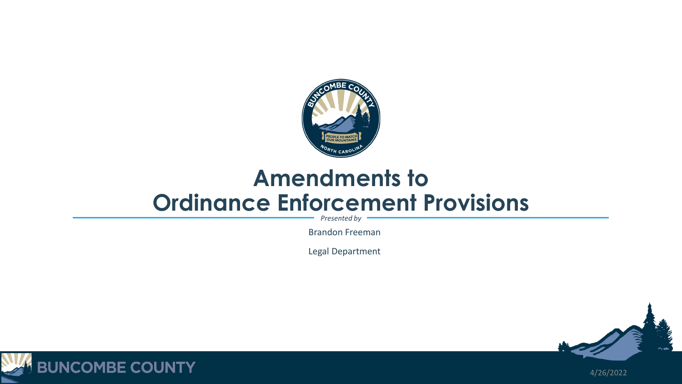

## **Amendments to Ordinance Enforcement Provisions**

*Presented by*

Brandon Freeman

Legal Department



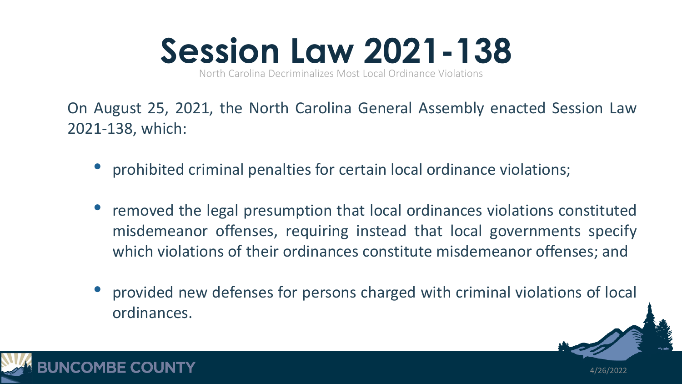

North Carolina Decriminalizes Most Local Ordinance Violations

On August 25, 2021, the North Carolina General Assembly enacted Session Law 2021-138, which:

- prohibited criminal penalties for certain local ordinance violations;
- removed the legal presumption that local ordinances violations constituted misdemeanor offenses, requiring instead that local governments specify which violations of their ordinances constitute misdemeanor offenses; and
- provided new defenses for persons charged with criminal violations of local ordinances.

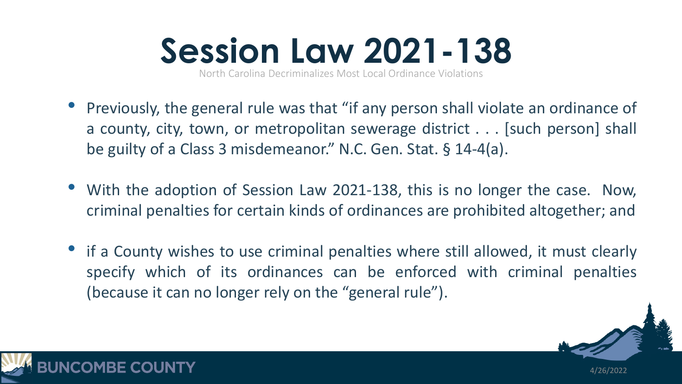

North Carolina Decriminalizes Most Local Ordinance Violations

- Previously, the general rule was that "if any person shall violate an ordinance of a county, city, town, or metropolitan sewerage district . . . [such person] shall be guilty of a Class 3 misdemeanor." N.C. Gen. Stat. § 14-4(a).
- With the adoption of Session Law 2021-138, this is no longer the case. Now, criminal penalties for certain kinds of ordinances are prohibited altogether; and
- if a County wishes to use criminal penalties where still allowed, it must clearly specify which of its ordinances can be enforced with criminal penalties (because it can no longer rely on the "general rule").

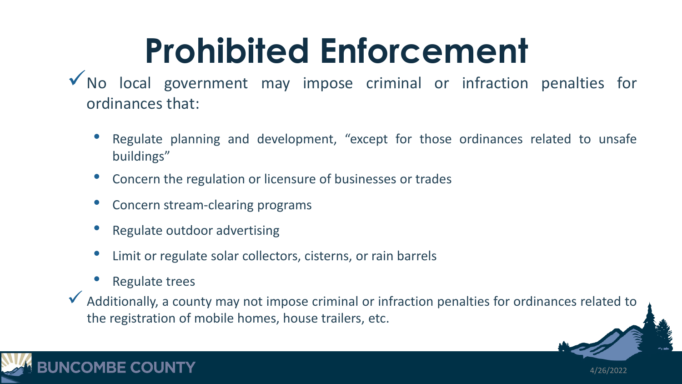## **Prohibited Enforcement**

- $\sqrt{}$  No local government may impose criminal or infraction penalties for ordinances that:
	- Regulate planning and development, "except for those ordinances related to unsafe buildings"
	- Concern the regulation or licensure of businesses or trades
	- Concern stream-clearing programs
	- Regulate outdoor advertising
	- Limit or regulate solar collectors, cisterns, or rain barrels
	- Regulate trees
- $\checkmark$  Additionally, a county may not impose criminal or infraction penalties for ordinances related to the registration of mobile homes, house trailers, etc.

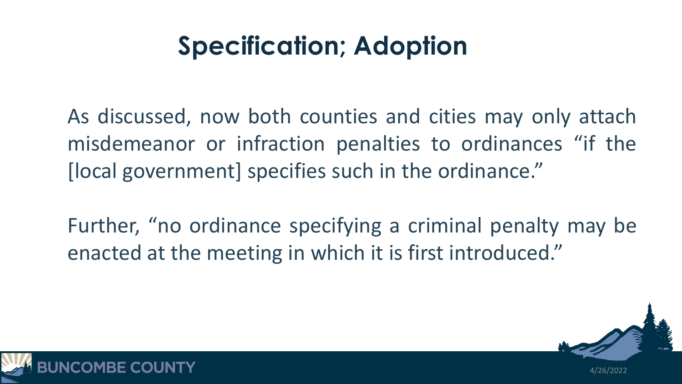## **Specification; Adoption**

As discussed, now both counties and cities may only attach misdemeanor or infraction penalties to ordinances "if the [local government] specifies such in the ordinance."

Further, "no ordinance specifying a criminal penalty may be enacted at the meeting in which it is first introduced."